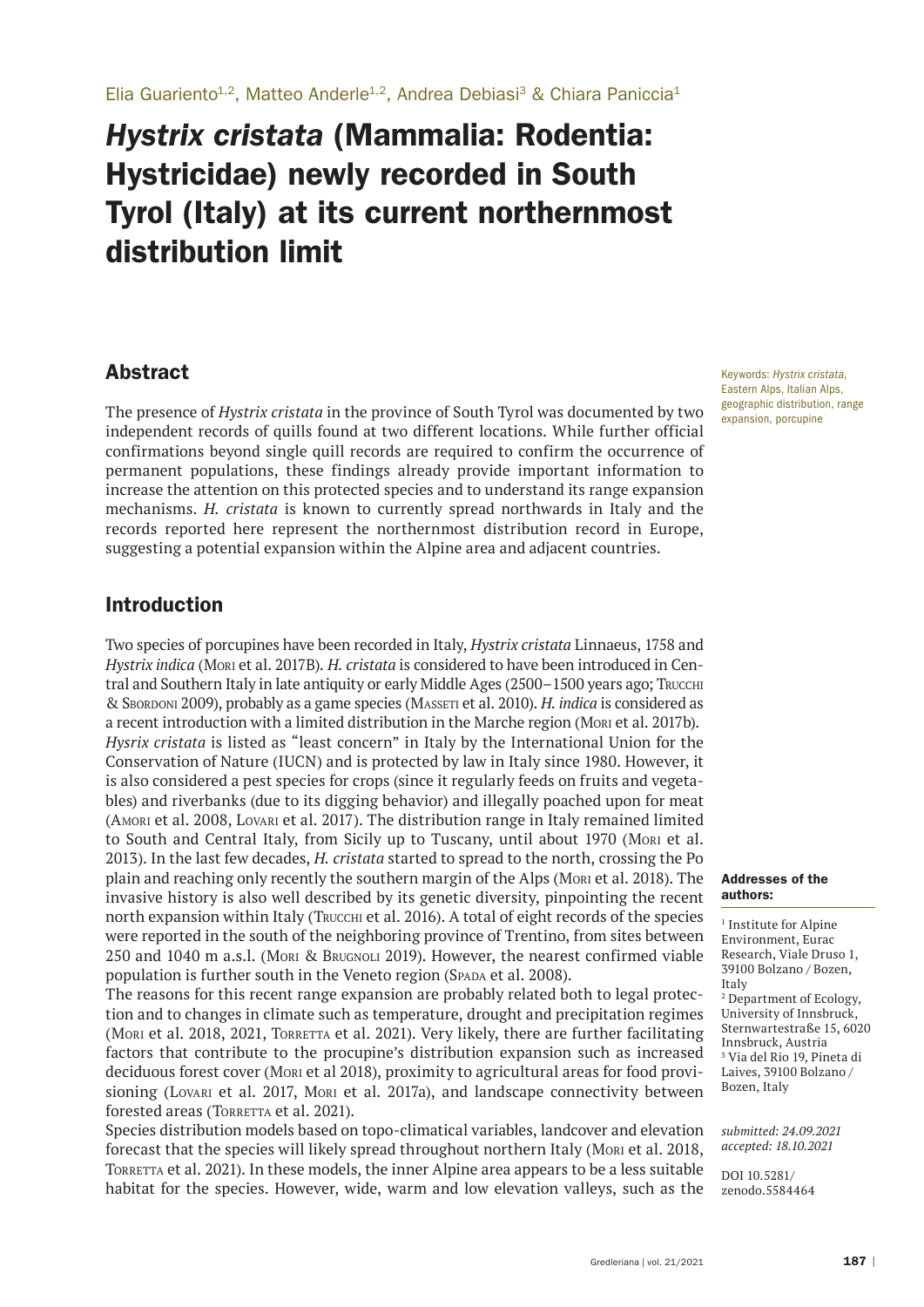# *Hystrix cristata* (Mammalia: Rodentia: Hystricidae) newly recorded in South Tyrol (Italy) at its current northernmost distribution limit

## Abstract

The presence of *Hystrix cristata* in the province of South Tyrol was documented by two independent records of quills found at two different locations. While further official confirmations beyond single quill records are required to confirm the occurrence of permanent populations, these findings already provide important information to increase the attention on this protected species and to understand its range expansion mechanisms. *H. cristata* is known to currently spread northwards in Italy and the records reported here represent the northernmost distribution record in Europe, suggesting a potential expansion within the Alpine area and adjacent countries.

# Introduction

Two species of porcupines have been recorded in Italy, *Hystrix cristata* Linnaeus, 1758 and *Hystrix indica* (Mori et al. 2017B)*. H. cristata* is considered to have been introduced in Central and Southern Italy in late antiquity or early Middle Ages (2500–1500 years ago; Trucchi & Sbordoni 2009), probably as a game species (Masseti et al. 2010). *H. indica* is considered as a recent introduction with a limited distribution in the Marche region (Mori et al. 2017b). *Hysrix cristata* is listed as "least concern" in Italy by the International Union for the Conservation of Nature (IUCN) and is protected by law in Italy since 1980. However, it is also considered a pest species for crops (since it regularly feeds on fruits and vegetables) and riverbanks (due to its digging behavior) and illegally poached upon for meat (Amori et al. 2008, Lovari et al. 2017). The distribution range in Italy remained limited to South and Central Italy, from Sicily up to Tuscany, until about 1970 (Mori et al. 2013). In the last few decades, *H. cristata* started to spread to the north, crossing the Po plain and reaching only recently the southern margin of the Alps (Mori et al. 2018). The invasive history is also well described by its genetic diversity, pinpointing the recent north expansion within Italy (Твиссни et al. 2016). A total of eight records of the species were reported in the south of the neighboring province of Trentino, from sites between 250 and 1040 m a.s.l. (Mori & Brugnoli 2019). However, the nearest confirmed viable population is further south in the Veneto region (SPADA et al. 2008).

The reasons for this recent range expansion are probably related both to legal protection and to changes in climate such as temperature, drought and precipitation regimes (Moni et al. 2018, 2021, TORRETTA et al. 2021). Very likely, there are further facilitating factors that contribute to the procupine's distribution expansion such as increased deciduous forest cover (Mori et al 2018), proximity to agricultural areas for food provisioning (Lovari et al. 2017, Mori et al. 2017a), and landscape connectivity between forested areas (TORRETTA et al. 2021).

Species distribution models based on topo-climatical variables, landcover and elevation forecast that the species will likely spread throughout northern Italy (Mori et al. 2018, Torretta et al. 2021). In these models, the inner Alpine area appears to be a less suitable habitat for the species. However, wide, warm and low elevation valleys, such as the

Keywords: *Hystrix cristata*, Eastern Alps, Italian Alps, geographic distribution, range expansion, porcupine

#### Addresses of the authors:

<sup>1</sup> Institute for Alpine Environment, Eurac Research, Viale Druso 1, 39100 Bolzano / Bozen, Italy 2 Department of Ecology, University of Innsbruck, Sternwartestraße 15, 6020 Innsbruck, Austria 3 Via del Rio 19, Pineta di Laives, 39100 Bolzano / Bozen, Italy

*submitted: 24.09.2021 accepted: 18.10.2021*

DOI 10.5281/ zenodo.5584464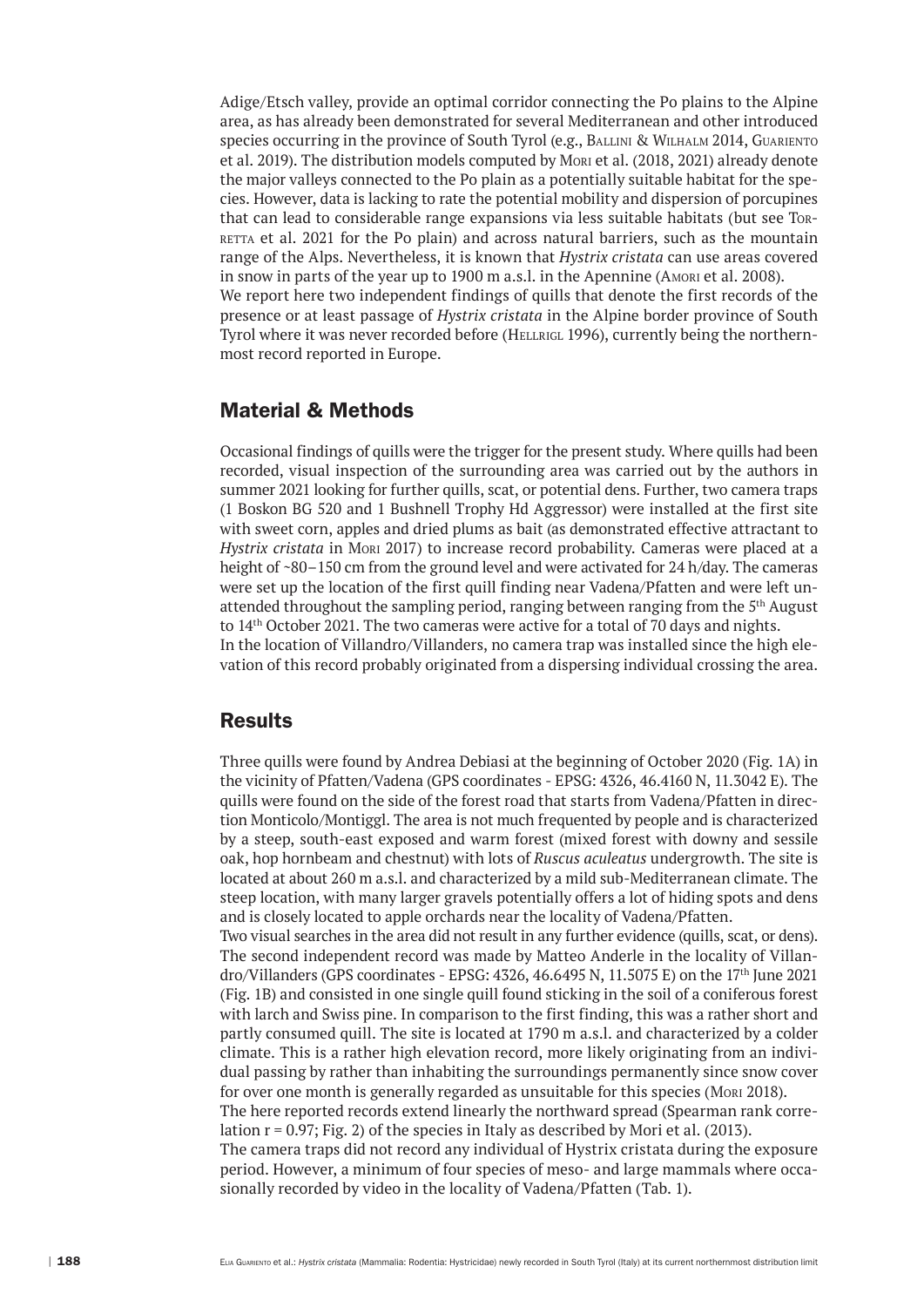Adige/Etsch valley, provide an optimal corridor connecting the Po plains to the Alpine area, as has already been demonstrated for several Mediterranean and other introduced species occurring in the province of South Tyrol (e.g., BALLINI & WILHALM 2014, GUARIENTO et al. 2019). The distribution models computed by Mori et al. (2018, 2021) already denote the major valleys connected to the Po plain as a potentially suitable habitat for the species. However, data is lacking to rate the potential mobility and dispersion of porcupines that can lead to considerable range expansions via less suitable habitats (but see Torretta et al. 2021 for the Po plain) and across natural barriers, such as the mountain range of the Alps. Nevertheless, it is known that *Hystrix cristata* can use areas covered in snow in parts of the year up to 1900 m a.s.l. in the Apennine (Amori et al. 2008). We report here two independent findings of quills that denote the first records of the presence or at least passage of *Hystrix cristata* in the Alpine border province of South Tyrol where it was never recorded before (HELLRIGL 1996), currently being the northernmost record reported in Europe.

#### Material & Methods

Occasional findings of quills were the trigger for the present study. Where quills had been recorded, visual inspection of the surrounding area was carried out by the authors in summer 2021 looking for further quills, scat, or potential dens. Further, two camera traps (1 Boskon BG 520 and 1 Bushnell Trophy Hd Aggressor) were installed at the first site with sweet corn, apples and dried plums as bait (as demonstrated effective attractant to *Hystrix cristata* in Mori 2017) to increase record probability. Cameras were placed at a height of ~80–150 cm from the ground level and were activated for 24 h/day. The cameras were set up the location of the first quill finding near Vadena/Pfatten and were left unattended throughout the sampling period, ranging between ranging from the 5th August to 14th October 2021. The two cameras were active for a total of 70 days and nights. In the location of Villandro/Villanders, no camera trap was installed since the high elevation of this record probably originated from a dispersing individual crossing the area.

#### **Results**

Three quills were found by Andrea Debiasi at the beginning of October 2020 (Fig. 1A) in the vicinity of Pfatten/Vadena (GPS coordinates - EPSG: 4326, 46.4160 N, 11.3042 E). The quills were found on the side of the forest road that starts from Vadena/Pfatten in direction Monticolo/Montiggl. The area is not much frequented by people and is characterized by a steep, south-east exposed and warm forest (mixed forest with downy and sessile oak, hop hornbeam and chestnut) with lots of *Ruscus aculeatus* undergrowth. The site is located at about 260 m a.s.l. and characterized by a mild sub-Mediterranean climate. The steep location, with many larger gravels potentially offers a lot of hiding spots and dens and is closely located to apple orchards near the locality of Vadena/Pfatten.

Two visual searches in the area did not result in any further evidence (quills, scat, or dens). The second independent record was made by Matteo Anderle in the locality of Villandro/Villanders (GPS coordinates - EPSG: 4326, 46.6495 N, 11.5075 E) on the 17th June 2021 (Fig. 1B) and consisted in one single quill found sticking in the soil of a coniferous forest with larch and Swiss pine. In comparison to the first finding, this was a rather short and partly consumed quill. The site is located at 1790 m a.s.l. and characterized by a colder climate. This is a rather high elevation record, more likely originating from an individual passing by rather than inhabiting the surroundings permanently since snow cover for over one month is generally regarded as unsuitable for this species (Mori 2018). The here reported records extend linearly the northward spread (Spearman rank correlation  $r = 0.97$ ; Fig. 2) of the species in Italy as described by Mori et al. (2013). The camera traps did not record any individual of Hystrix cristata during the exposure period. However, a minimum of four species of meso- and large mammals where occasionally recorded by video in the locality of Vadena/Pfatten (Tab. 1).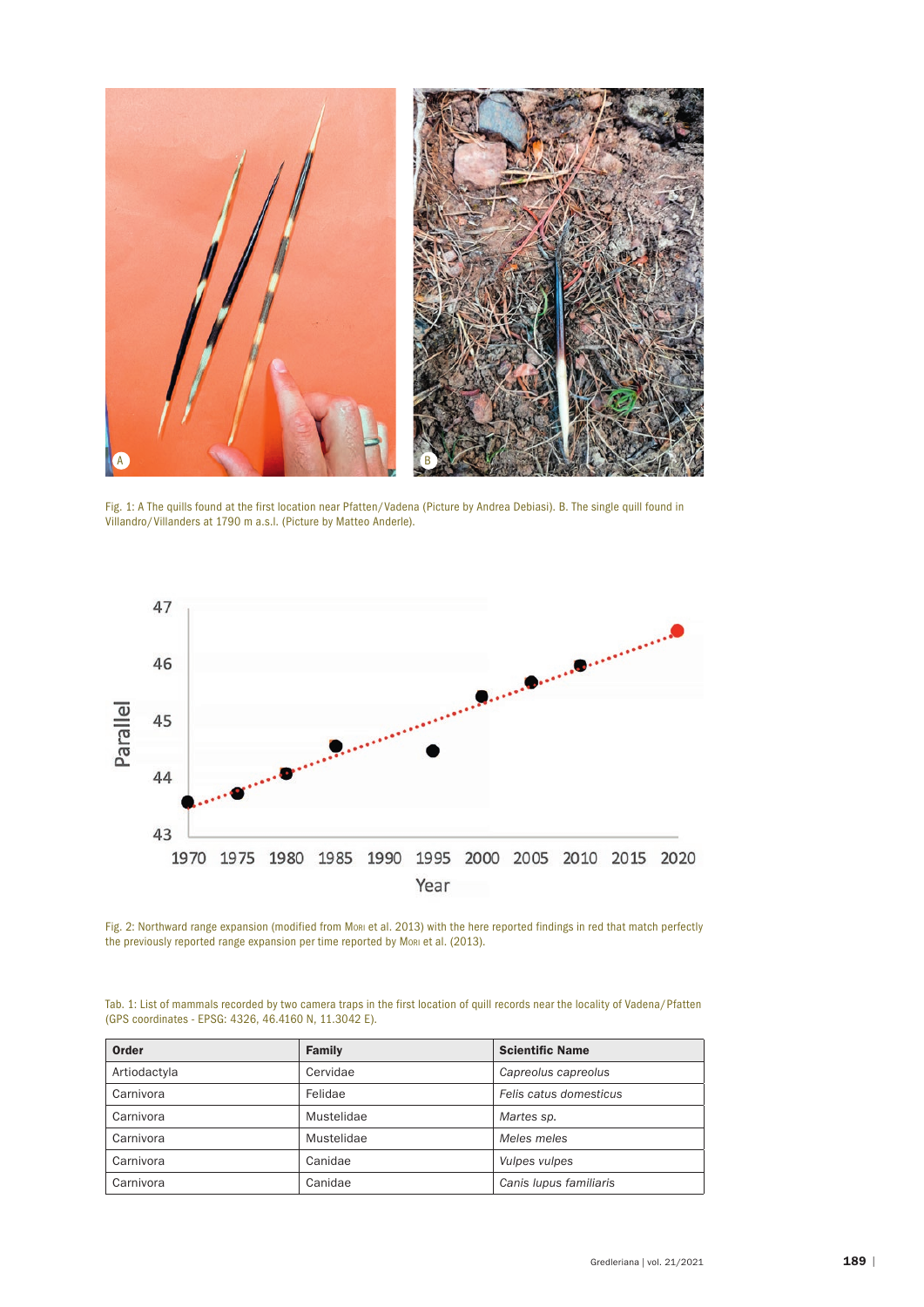

Fig. 1: A The quills found at the first location near Pfatten/Vadena (Picture by Andrea Debiasi). B. The single quill found in Villandro/Villanders at 1790 m a.s.l. (Picture by Matteo Anderle).



Fig. 2: Northward range expansion (modified from Mori et al. 2013) with the here reported findings in red that match perfectly the previously reported range expansion per time reported by Mori et al. (2013).

| Tab. 1: List of mammals recorded by two camera traps in the first location of quill records near the locality of Vadena/Pfatten |  |
|---------------------------------------------------------------------------------------------------------------------------------|--|
| (GPS coordinates - EPSG: 4326, 46.4160 N, 11.3042 E).                                                                           |  |

| Order        | Family     | <b>Scientific Name</b> |
|--------------|------------|------------------------|
| Artiodactyla | Cervidae   | Capreolus capreolus    |
| Carnivora    | Felidae    | Felis catus domesticus |
| Carnivora    | Mustelidae | Martes sp.             |
| Carnivora    | Mustelidae | Meles meles            |
| Carnivora    | Canidae    | Vulpes vulpes          |
| Carnivora    | Canidae    | Canis lupus familiaris |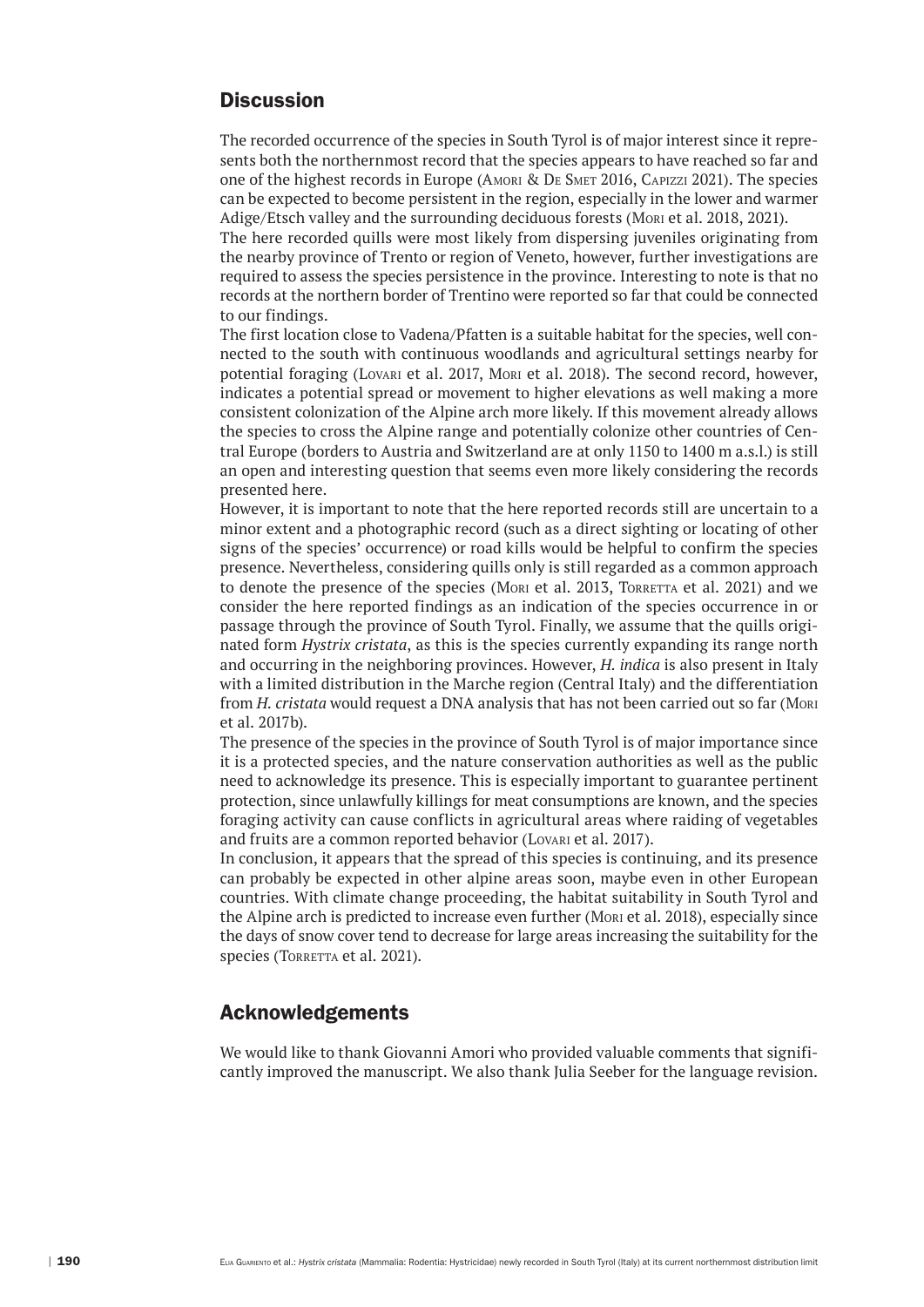# **Discussion**

The recorded occurrence of the species in South Tyrol is of major interest since it represents both the northernmost record that the species appears to have reached so far and one of the highest records in Europe (Amori & De Smet 2016, Capizzi 2021). The species can be expected to become persistent in the region, especially in the lower and warmer Adige/Etsch valley and the surrounding deciduous forests (Mori et al. 2018, 2021).

The here recorded quills were most likely from dispersing juveniles originating from the nearby province of Trento or region of Veneto, however, further investigations are required to assess the species persistence in the province. Interesting to note is that no records at the northern border of Trentino were reported so far that could be connected to our findings.

The first location close to Vadena/Pfatten is a suitable habitat for the species, well connected to the south with continuous woodlands and agricultural settings nearby for potential foraging (Lovari et al. 2017, Mori et al. 2018). The second record, however, indicates a potential spread or movement to higher elevations as well making a more consistent colonization of the Alpine arch more likely. If this movement already allows the species to cross the Alpine range and potentially colonize other countries of Central Europe (borders to Austria and Switzerland are at only 1150 to 1400 m a.s.l.) is still an open and interesting question that seems even more likely considering the records presented here.

However, it is important to note that the here reported records still are uncertain to a minor extent and a photographic record (such as a direct sighting or locating of other signs of the species' occurrence) or road kills would be helpful to confirm the species presence. Nevertheless, considering quills only is still regarded as a common approach to denote the presence of the species (Mori et al. 2013, TORRETTA et al. 2021) and we consider the here reported findings as an indication of the species occurrence in or passage through the province of South Tyrol. Finally, we assume that the quills originated form *Hystrix cristata*, as this is the species currently expanding its range north and occurring in the neighboring provinces. However, *H. indica* is also present in Italy with a limited distribution in the Marche region (Central Italy) and the differentiation from *H. cristata* would request a DNA analysis that has not been carried out so far (Mori et al. 2017b).

The presence of the species in the province of South Tyrol is of major importance since it is a protected species, and the nature conservation authorities as well as the public need to acknowledge its presence. This is especially important to guarantee pertinent protection, since unlawfully killings for meat consumptions are known, and the species foraging activity can cause conflicts in agricultural areas where raiding of vegetables and fruits are a common reported behavior (Lovari et al. 2017).

In conclusion, it appears that the spread of this species is continuing, and its presence can probably be expected in other alpine areas soon, maybe even in other European countries. With climate change proceeding, the habitat suitability in South Tyrol and the Alpine arch is predicted to increase even further (Mori et al. 2018), especially since the days of snow cover tend to decrease for large areas increasing the suitability for the species (TORRETTA et al. 2021).

### Acknowledgements

We would like to thank Giovanni Amori who provided valuable comments that significantly improved the manuscript. We also thank Julia Seeber for the language revision.